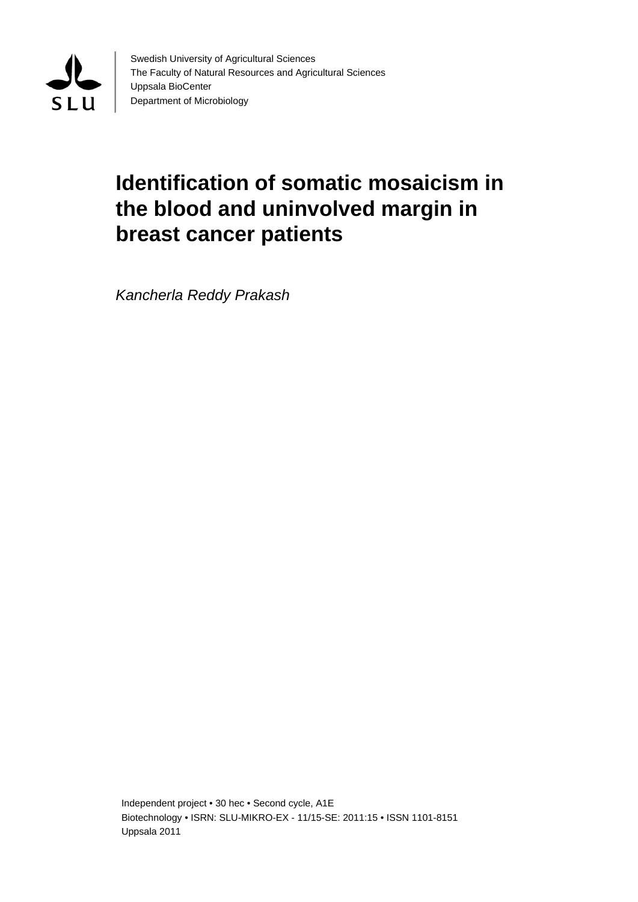

Swedish University of Agricultural Sciences The Faculty of Natural Resources and Agricultural Sciences Uppsala BioCenter Department of Microbiology

# **Identification of somatic mosaicism in the blood and uninvolved margin in breast cancer patients**

*Kancherla Reddy Prakash* 

Independent project • 30 hec • Second cycle, A1E Biotechnology • ISRN: SLU-MIKRO-EX - 11/15-SE: 2011:15 • ISSN 1101-8151 Uppsala 2011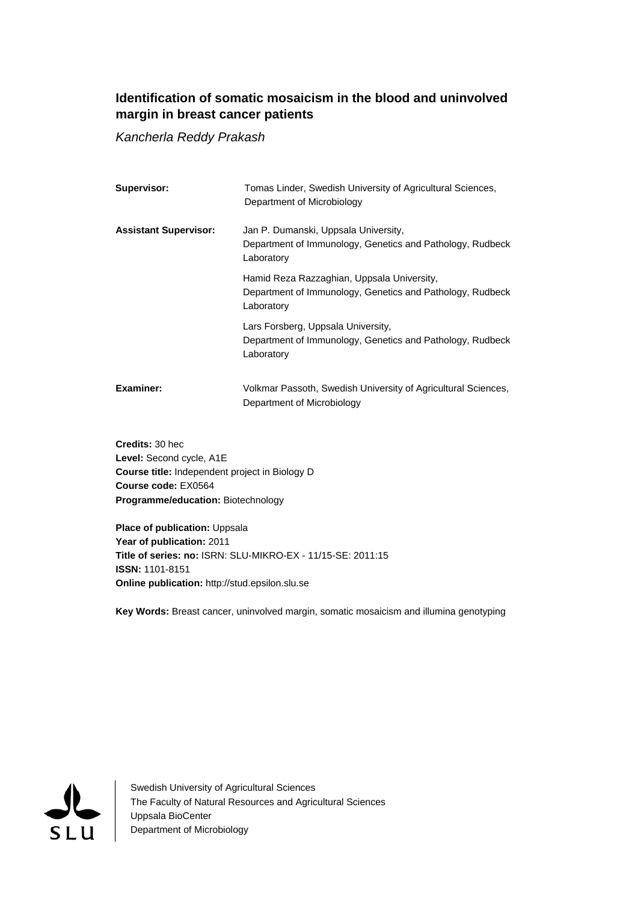## **Identification of somatic mosaicism in the blood and uninvolved margin in breast cancer patients**

*Kancherla Reddy Prakash* 

| Supervisor:                  | Tomas Linder, Swedish University of Agricultural Sciences,<br>Department of Microbiology                              |
|------------------------------|-----------------------------------------------------------------------------------------------------------------------|
| <b>Assistant Supervisor:</b> | Jan P. Dumanski, Uppsala University,<br>Department of Immunology, Genetics and Pathology, Rudbeck<br>Laboratory       |
|                              | Hamid Reza Razzaghian, Uppsala University,<br>Department of Immunology, Genetics and Pathology, Rudbeck<br>Laboratory |
|                              | Lars Forsberg, Uppsala University,<br>Department of Immunology, Genetics and Pathology, Rudbeck<br>Laboratory         |
| Examiner:                    | Volkmar Passoth, Swedish University of Agricultural Sciences,<br>Department of Microbiology                           |

**Credits:** 30 hec **Level:** Second cycle, A1E **Course title:** Independent project in Biology D **Course code:** EX0564 **Programme/education:** Biotechnology

**Place of publication: Uppsala Year of publication:** 2011 **Title of series: no:** ISRN: SLU-MIKRO-EX - 11/15-SE: 2011:15 **ISSN:** 1101-8151 **Online publication:** http://stud.epsilon.slu.se

**Key Words:** Breast cancer, uninvolved margin, somatic mosaicism and illumina genotyping



Swedish University of Agricultural Sciences The Faculty of Natural Resources and Agricultural Sciences Uppsala BioCenter Department of Microbiology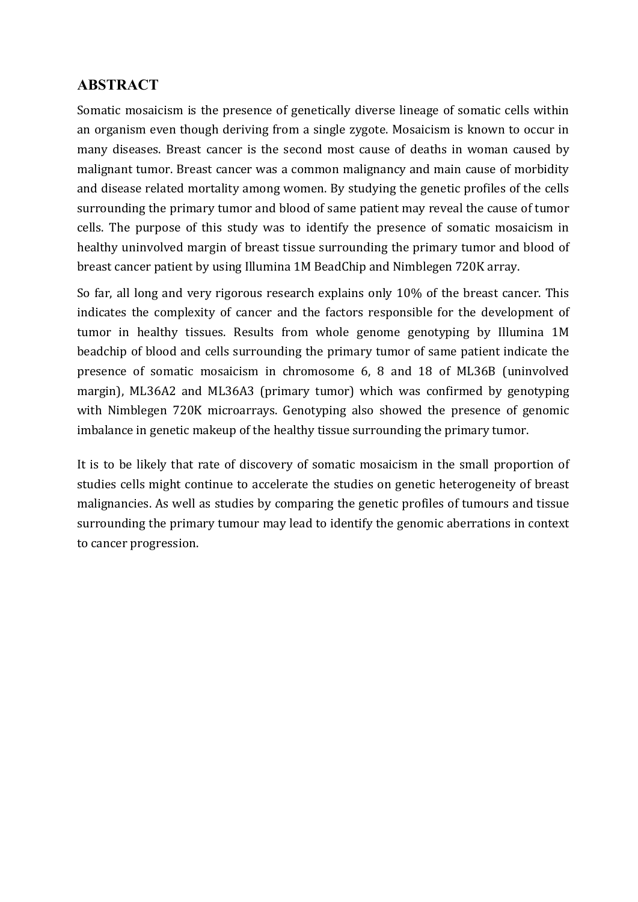# **ABSTRACT**

Somatic mosaicism is the presence of genetically diverse lineage of somatic cells within an organism even though deriving from a single zygote. Mosaicism is known to occur in many diseases. Breast cancer is the second most cause of deaths in woman caused by malignant tumor. Breast cancer was a common malignancy and main cause of morbidity and disease related mortality among women. By studying the genetic profiles of the cells surrounding the primary tumor and blood of same patient may reveal the cause of tumor cells. The purpose of this study was to identify the presence of somatic mosaicism in healthy uninvolved margin of breast tissue surrounding the primary tumor and blood of breast cancer patient by using Illumina 1M BeadChip and Nimblegen 720K array.

So far, all long and very rigorous research explains only 10% of the breast cancer. This indicates the complexity of cancer and the factors responsible for the development of tumor in healthy tissues. Results from whole genome genotyping by Illumina 1M beadchip of blood and cells surrounding the primary tumor of same patient indicate the presence of somatic mosaicism in chromosome 6, 8 and 18 of ML36B (uninvolved margin), ML36A2 and ML36A3 (primary tumor) which was confirmed by genotyping with Nimblegen 720K microarrays. Genotyping also showed the presence of genomic imbalance in genetic makeup of the healthy tissue surrounding the primary tumor.

It is to be likely that rate of discovery of somatic mosaicism in the small proportion of studies cells might continue to accelerate the studies on genetic heterogeneity of breast malignancies. As well as studies by comparing the genetic profiles of tumours and tissue surrounding the primary tumour may lead to identify the genomic aberrations in context to cancer progression.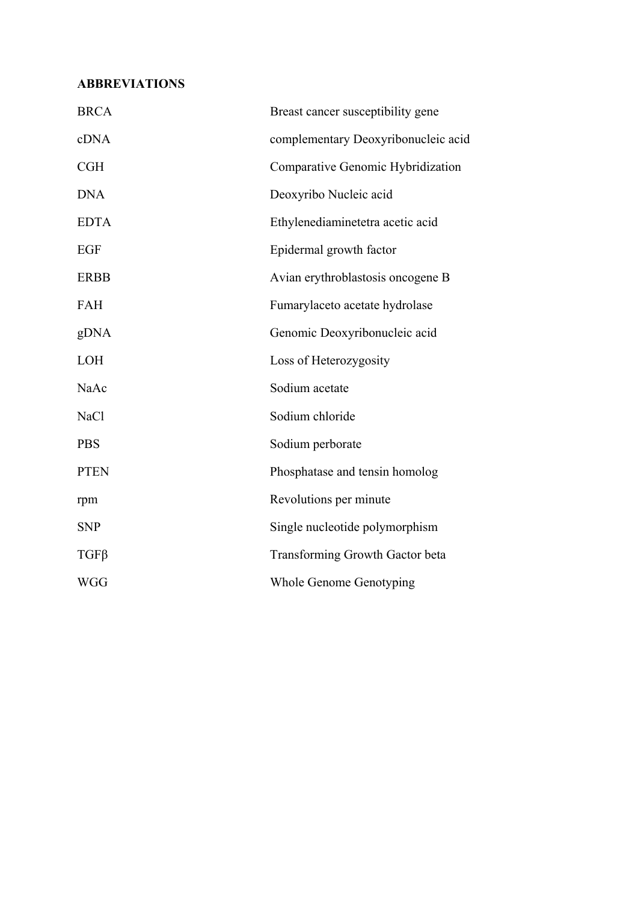# **ABBREVIATIONS**

| <b>BRCA</b> | Breast cancer susceptibility gene   |
|-------------|-------------------------------------|
| cDNA        | complementary Deoxyribonucleic acid |
| <b>CGH</b>  | Comparative Genomic Hybridization   |
| <b>DNA</b>  | Deoxyribo Nucleic acid              |
| <b>EDTA</b> | Ethylenediaminetetra acetic acid    |
| <b>EGF</b>  | Epidermal growth factor             |
| <b>ERBB</b> | Avian erythroblastosis oncogene B   |
| <b>FAH</b>  | Fumarylaceto acetate hydrolase      |
| gDNA        | Genomic Deoxyribonucleic acid       |
| LOH         | Loss of Heterozygosity              |
| NaAc        | Sodium acetate                      |
| <b>NaCl</b> | Sodium chloride                     |
| <b>PBS</b>  | Sodium perborate                    |
| <b>PTEN</b> | Phosphatase and tensin homolog      |
| rpm         | Revolutions per minute              |
| <b>SNP</b>  | Single nucleotide polymorphism      |
| $TGF\beta$  | Transforming Growth Gactor beta     |
| <b>WGG</b>  | Whole Genome Genotyping             |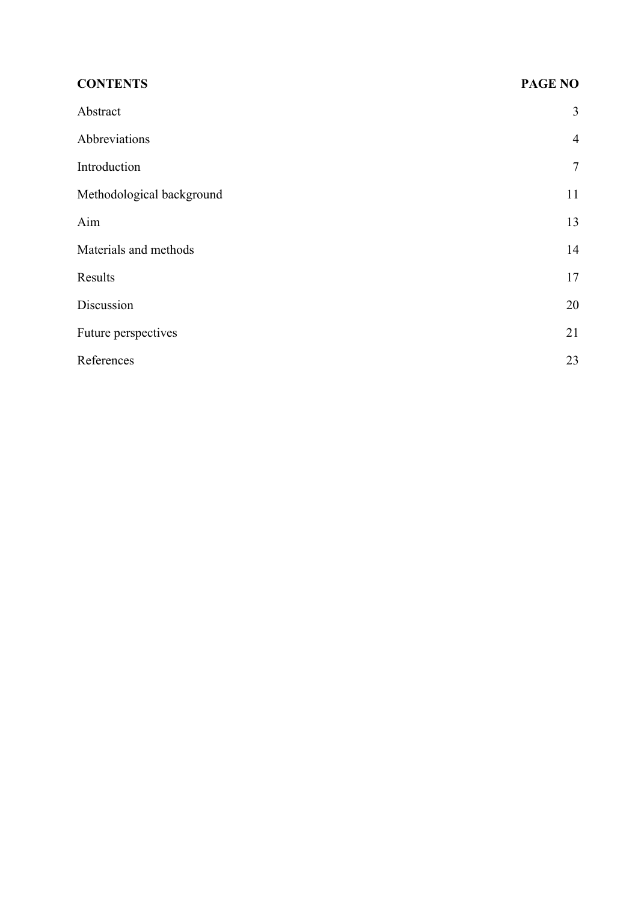| <b>CONTENTS</b>           | <b>PAGE NO</b> |
|---------------------------|----------------|
| Abstract                  | 3              |
| Abbreviations             | $\overline{4}$ |
| Introduction              | $\tau$         |
| Methodological background | 11             |
| Aim                       | 13             |
| Materials and methods     | 14             |
| Results                   | 17             |
| Discussion                | 20             |
| Future perspectives       | 21             |
| References                | 23             |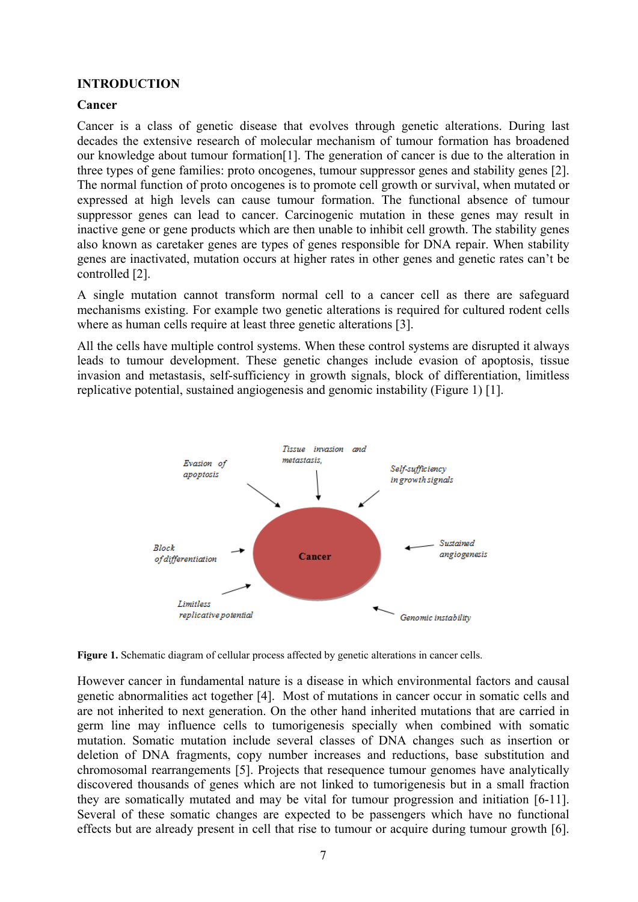## **INTRODUCTION**

#### **Cancer**

Cancer is a class of genetic disease that evolves through genetic alterations. During last decades the extensive research of molecular mechanism of tumour formation has broadened our knowledge about tumour formation[1]. The generation of cancer is due to the alteration in three types of gene families: proto oncogenes, tumour suppressor genes and stability genes [2]. The normal function of proto oncogenes is to promote cell growth or survival, when mutated or expressed at high levels can cause tumour formation. The functional absence of tumour suppressor genes can lead to cancer. Carcinogenic mutation in these genes may result in inactive gene or gene products which are then unable to inhibit cell growth. The stability genes also known as caretaker genes are types of genes responsible for DNA repair. When stability genes are inactivated, mutation occurs at higher rates in other genes and genetic rates can't be controlled [2].

A single mutation cannot transform normal cell to a cancer cell as there are safeguard mechanisms existing. For example two genetic alterations is required for cultured rodent cells where as human cells require at least three genetic alterations [3].

All the cells have multiple control systems. When these control systems are disrupted it always leads to tumour development. These genetic changes include evasion of apoptosis, tissue invasion and metastasis, self-sufficiency in growth signals, block of differentiation, limitless replicative potential, sustained angiogenesis and genomic instability (Figure 1) [1].





However cancer in fundamental nature is a disease in which environmental factors and causal genetic abnormalities act together [4]. Most of mutations in cancer occur in somatic cells and are not inherited to next generation. On the other hand inherited mutations that are carried in germ line may influence cells to tumorigenesis specially when combined with somatic mutation. Somatic mutation include several classes of DNA changes such as insertion or deletion of DNA fragments, copy number increases and reductions, base substitution and chromosomal rearrangements [5]. Projects that resequence tumour genomes have analytically discovered thousands of genes which are not linked to tumorigenesis but in a small fraction they are somatically mutated and may be vital for tumour progression and initiation [6-11]. Several of these somatic changes are expected to be passengers which have no functional effects but are already present in cell that rise to tumour or acquire during tumour growth [6].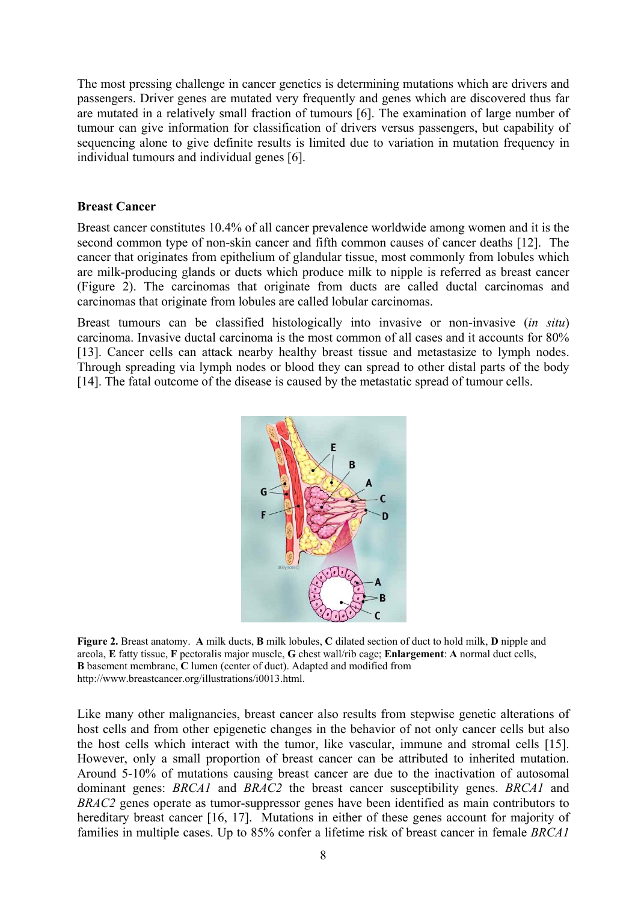The most pressing challenge in cancer genetics is determining mutations which are drivers and passengers. Driver genes are mutated very frequently and genes which are discovered thus far are mutated in a relatively small fraction of tumours [6]. The examination of large number of tumour can give information for classification of drivers versus passengers, but capability of sequencing alone to give definite results is limited due to variation in mutation frequency in individual tumours and individual genes [6].

#### **Breast Cancer**

Breast cancer constitutes 10.4% of all cancer prevalence worldwide among women and it is the second common type of non-skin cancer and fifth common causes of cancer deaths [12]. The cancer that originates from epithelium of glandular tissue, most commonly from lobules which are milk-producing glands or ducts which produce milk to nipple is referred as breast cancer (Figure 2). The carcinomas that originate from ducts are called ductal carcinomas and carcinomas that originate from lobules are called lobular carcinomas.

Breast tumours can be classified histologically into invasive or non-invasive (*in situ*) carcinoma. Invasive ductal carcinoma is the most common of all cases and it accounts for 80% [13]. Cancer cells can attack nearby healthy breast tissue and metastasize to lymph nodes. Through spreading via lymph nodes or blood they can spread to other distal parts of the body [14]. The fatal outcome of the disease is caused by the metastatic spread of tumour cells.



**Figure 2.** Breast anatomy. **A** milk ducts, **B** milk lobules, **C** dilated section of duct to hold milk, **D** nipple and areola, **E** fatty tissue, **F** pectoralis major muscle, **G** chest wall/rib cage; **Enlargement**: **A** normal duct cells, **B** basement membrane, **C** lumen (center of duct). Adapted and modified from http://www.breastcancer.org/illustrations/i0013.html.

Like many other malignancies, breast cancer also results from stepwise genetic alterations of host cells and from other epigenetic changes in the behavior of not only cancer cells but also the host cells which interact with the tumor, like vascular, immune and stromal cells [15]. However, only a small proportion of breast cancer can be attributed to inherited mutation. Around 5-10% of mutations causing breast cancer are due to the inactivation of autosomal dominant genes: *BRCA1* and *BRAC2* the breast cancer susceptibility genes. *BRCA1* and *BRAC2* genes operate as tumor-suppressor genes have been identified as main contributors to hereditary breast cancer [16, 17]. Mutations in either of these genes account for majority of families in multiple cases. Up to 85% confer a lifetime risk of breast cancer in female *BRCA1*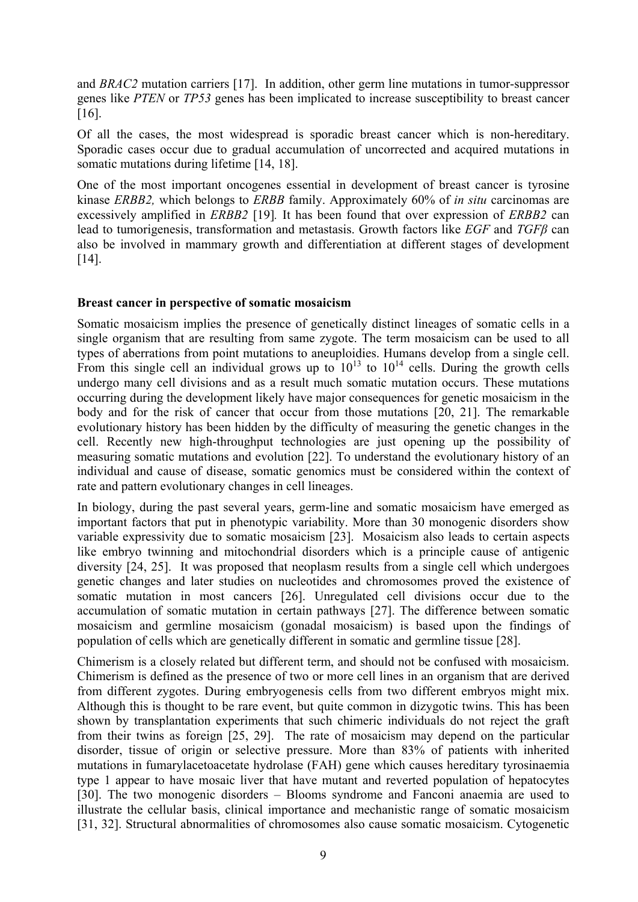and *BRAC2* mutation carriers [17]. In addition, other germ line mutations in tumor-suppressor genes like *PTEN* or *TP53* genes has been implicated to increase susceptibility to breast cancer [16].

Of all the cases, the most widespread is sporadic breast cancer which is non-hereditary. Sporadic cases occur due to gradual accumulation of uncorrected and acquired mutations in somatic mutations during lifetime [14, 18].

One of the most important oncogenes essential in development of breast cancer is tyrosine kinase *ERBB2,* which belongs to *ERBB* family. Approximately 60% of *in situ* carcinomas are excessively amplified in *ERBB2* [19]*.* It has been found that over expression of *ERBB2* can lead to tumorigenesis, transformation and metastasis. Growth factors like *EGF* and *TGFβ* can also be involved in mammary growth and differentiation at different stages of development [14].

#### **Breast cancer in perspective of somatic mosaicism**

Somatic mosaicism implies the presence of genetically distinct lineages of somatic cells in a single organism that are resulting from same zygote. The term mosaicism can be used to all types of aberrations from point mutations to aneuploidies. Humans develop from a single cell. From this single cell an individual grows up to  $10^{13}$  to  $10^{14}$  cells. During the growth cells undergo many cell divisions and as a result much somatic mutation occurs. These mutations occurring during the development likely have major consequences for genetic mosaicism in the body and for the risk of cancer that occur from those mutations [20, 21]. The remarkable evolutionary history has been hidden by the difficulty of measuring the genetic changes in the cell. Recently new high-throughput technologies are just opening up the possibility of measuring somatic mutations and evolution [22]. To understand the evolutionary history of an individual and cause of disease, somatic genomics must be considered within the context of rate and pattern evolutionary changes in cell lineages.

In biology, during the past several years, germ-line and somatic mosaicism have emerged as important factors that put in phenotypic variability. More than 30 monogenic disorders show variable expressivity due to somatic mosaicism [23]. Mosaicism also leads to certain aspects like embryo twinning and mitochondrial disorders which is a principle cause of antigenic diversity [24, 25]. It was proposed that neoplasm results from a single cell which undergoes genetic changes and later studies on nucleotides and chromosomes proved the existence of somatic mutation in most cancers [26]. Unregulated cell divisions occur due to the accumulation of somatic mutation in certain pathways [27]. The difference between somatic mosaicism and germline mosaicism (gonadal mosaicism) is based upon the findings of population of cells which are genetically different in somatic and germline tissue [28].

Chimerism is a closely related but different term, and should not be confused with mosaicism. Chimerism is defined as the presence of two or more cell lines in an organism that are derived from different zygotes. During embryogenesis cells from two different embryos might mix. Although this is thought to be rare event, but quite common in dizygotic twins. This has been shown by transplantation experiments that such chimeric individuals do not reject the graft from their twins as foreign [25, 29]. The rate of mosaicism may depend on the particular disorder, tissue of origin or selective pressure. More than 83% of patients with inherited mutations in fumarylacetoacetate hydrolase (FAH) gene which causes hereditary tyrosinaemia type 1 appear to have mosaic liver that have mutant and reverted population of hepatocytes [30]. The two monogenic disorders – Blooms syndrome and Fanconi anaemia are used to illustrate the cellular basis, clinical importance and mechanistic range of somatic mosaicism [31, 32]. Structural abnormalities of chromosomes also cause somatic mosaicism. Cytogenetic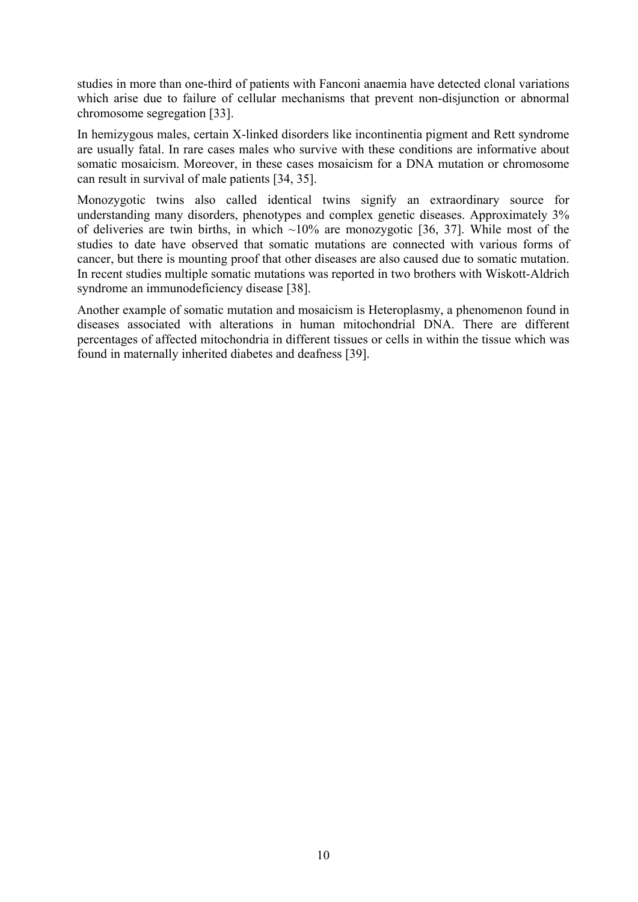studies in more than one-third of patients with Fanconi anaemia have detected clonal variations which arise due to failure of cellular mechanisms that prevent non-disjunction or abnormal chromosome segregation [33].

In hemizygous males, certain X-linked disorders like incontinentia pigment and Rett syndrome are usually fatal. In rare cases males who survive with these conditions are informative about somatic mosaicism. Moreover, in these cases mosaicism for a DNA mutation or chromosome can result in survival of male patients [34, 35].

Monozygotic twins also called identical twins signify an extraordinary source for understanding many disorders, phenotypes and complex genetic diseases. Approximately 3% of deliveries are twin births, in which  $\sim 10\%$  are monozygotic [36, 37]. While most of the studies to date have observed that somatic mutations are connected with various forms of cancer, but there is mounting proof that other diseases are also caused due to somatic mutation. In recent studies multiple somatic mutations was reported in two brothers with Wiskott-Aldrich syndrome an immunodeficiency disease [38].

Another example of somatic mutation and mosaicism is Heteroplasmy, a phenomenon found in diseases associated with alterations in human mitochondrial DNA. There are different percentages of affected mitochondria in different tissues or cells in within the tissue which was found in maternally inherited diabetes and deafness [39].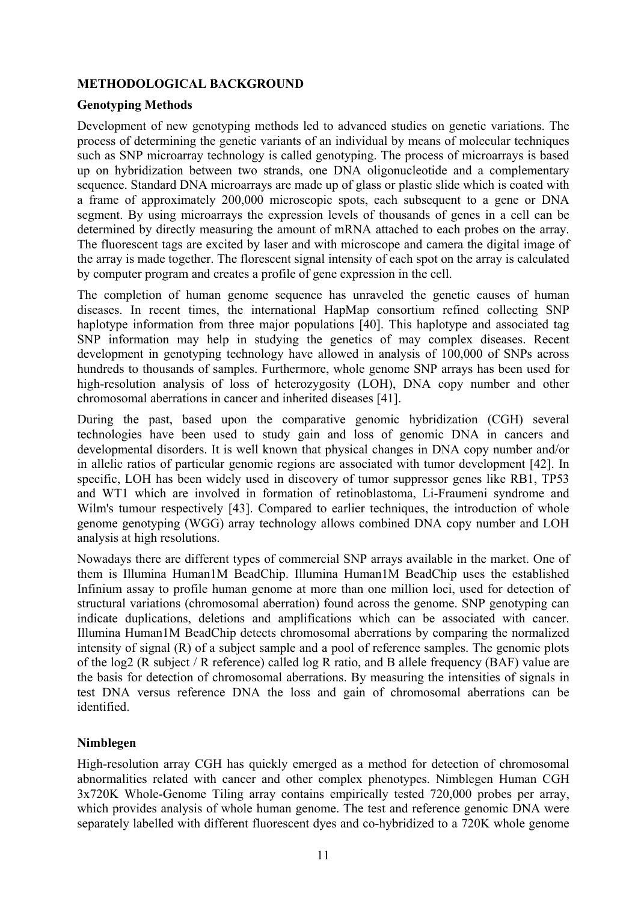## **METHODOLOGICAL BACKGROUND**

## **Genotyping Methods**

Development of new genotyping methods led to advanced studies on genetic variations. The process of determining the genetic variants of an individual by means of molecular techniques such as SNP microarray technology is called genotyping. The process of microarrays is based up on hybridization between two strands, one DNA oligonucleotide and a complementary sequence. Standard DNA microarrays are made up of glass or plastic slide which is coated with a frame of approximately 200,000 microscopic spots, each subsequent to a gene or DNA segment. By using microarrays the expression levels of thousands of genes in a cell can be determined by directly measuring the amount of mRNA attached to each probes on the array. The fluorescent tags are excited by laser and with microscope and camera the digital image of the array is made together. The florescent signal intensity of each spot on the array is calculated by computer program and creates a profile of gene expression in the cell.

The completion of human genome sequence has unraveled the genetic causes of human diseases. In recent times, the international HapMap consortium refined collecting SNP haplotype information from three major populations [40]. This haplotype and associated tag SNP information may help in studying the genetics of may complex diseases. Recent development in genotyping technology have allowed in analysis of 100,000 of SNPs across hundreds to thousands of samples. Furthermore, whole genome SNP arrays has been used for high-resolution analysis of loss of heterozygosity (LOH), DNA copy number and other chromosomal aberrations in cancer and inherited diseases [41].

During the past, based upon the comparative genomic hybridization (CGH) several technologies have been used to study gain and loss of genomic DNA in cancers and developmental disorders. It is well known that physical changes in DNA copy number and/or in allelic ratios of particular genomic regions are associated with tumor development [42]. In specific, LOH has been widely used in discovery of tumor suppressor genes like RB1, TP53 and WT1 which are involved in formation of retinoblastoma, Li-Fraumeni syndrome and Wilm's tumour respectively [43]. Compared to earlier techniques, the introduction of whole genome genotyping (WGG) array technology allows combined DNA copy number and LOH analysis at high resolutions.

Nowadays there are different types of commercial SNP arrays available in the market. One of them is Illumina Human1M BeadChip. Illumina Human1M BeadChip uses the established Infinium assay to profile human genome at more than one million loci, used for detection of structural variations (chromosomal aberration) found across the genome. SNP genotyping can indicate duplications, deletions and amplifications which can be associated with cancer. Illumina Human1M BeadChip detects chromosomal aberrations by comparing the normalized intensity of signal (R) of a subject sample and a pool of reference samples. The genomic plots of the log2 (R subject / R reference) called log R ratio, and B allele frequency (BAF) value are the basis for detection of chromosomal aberrations. By measuring the intensities of signals in test DNA versus reference DNA the loss and gain of chromosomal aberrations can be identified.

## **Nimblegen**

High-resolution array CGH has quickly emerged as a method for detection of chromosomal abnormalities related with cancer and other complex phenotypes. Nimblegen Human CGH 3x720K Whole-Genome Tiling array contains empirically tested 720,000 probes per array, which provides analysis of whole human genome. The test and reference genomic DNA were separately labelled with different fluorescent dyes and co-hybridized to a 720K whole genome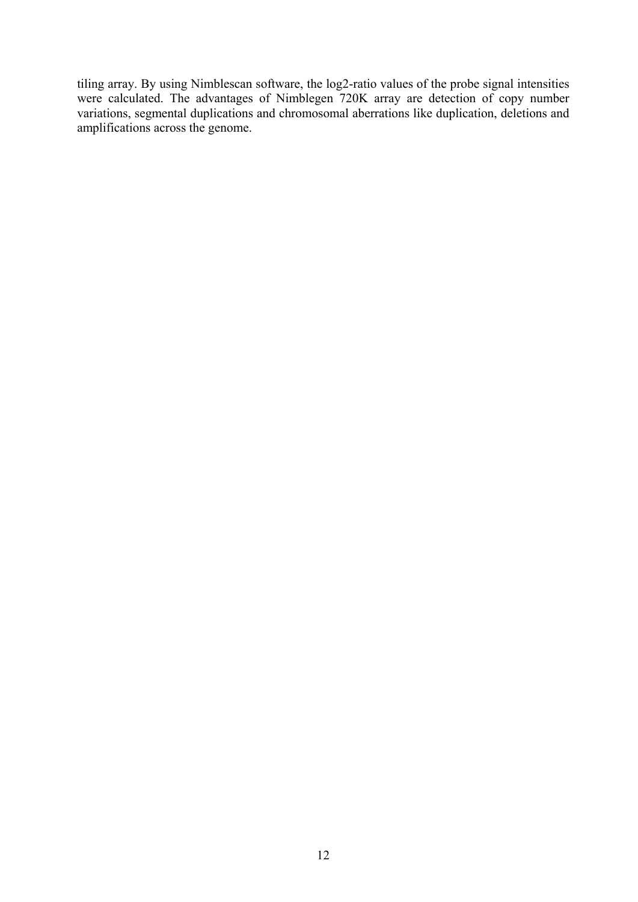tiling array. By using Nimblescan software, the log2-ratio values of the probe signal intensities were calculated. The advantages of Nimblegen 720K array are detection of copy number variations, segmental duplications and chromosomal aberrations like duplication, deletions and amplifications across the genome.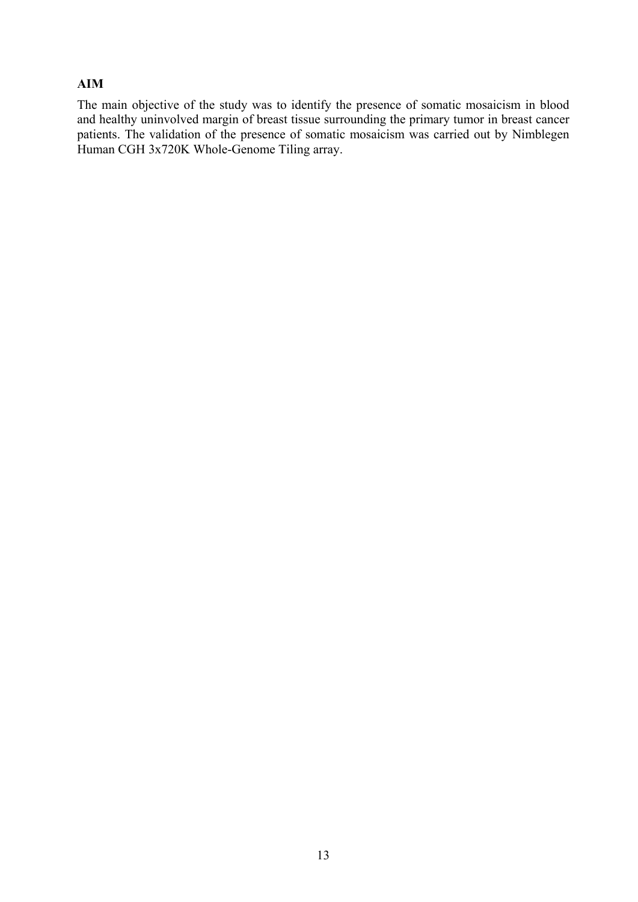## **AIM**

The main objective of the study was to identify the presence of somatic mosaicism in blood and healthy uninvolved margin of breast tissue surrounding the primary tumor in breast cancer patients. The validation of the presence of somatic mosaicism was carried out by Nimblegen Human CGH 3x720K Whole-Genome Tiling array.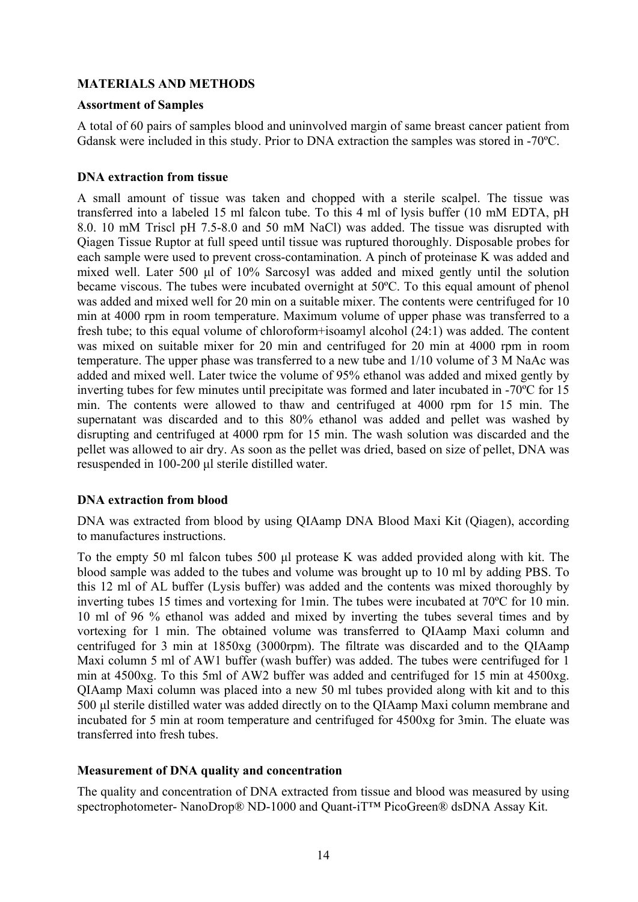## **MATERIALS AND METHODS**

#### **Assortment of Samples**

A total of 60 pairs of samples blood and uninvolved margin of same breast cancer patient from Gdansk were included in this study. Prior to DNA extraction the samples was stored in -70ºC.

#### **DNA extraction from tissue**

A small amount of tissue was taken and chopped with a sterile scalpel. The tissue was transferred into a labeled 15 ml falcon tube. To this 4 ml of lysis buffer (10 mM EDTA, pH 8.0. 10 mM Triscl pH 7.5-8.0 and 50 mM NaCl) was added. The tissue was disrupted with Qiagen Tissue Ruptor at full speed until tissue was ruptured thoroughly. Disposable probes for each sample were used to prevent cross-contamination. A pinch of proteinase K was added and mixed well. Later 500 μl of 10% Sarcosyl was added and mixed gently until the solution became viscous. The tubes were incubated overnight at 50ºC. To this equal amount of phenol was added and mixed well for 20 min on a suitable mixer. The contents were centrifuged for 10 min at 4000 rpm in room temperature. Maximum volume of upper phase was transferred to a fresh tube; to this equal volume of chloroform+isoamyl alcohol (24:1) was added. The content was mixed on suitable mixer for 20 min and centrifuged for 20 min at 4000 rpm in room temperature. The upper phase was transferred to a new tube and 1/10 volume of 3 M NaAc was added and mixed well. Later twice the volume of 95% ethanol was added and mixed gently by inverting tubes for few minutes until precipitate was formed and later incubated in -70ºC for 15 min. The contents were allowed to thaw and centrifuged at 4000 rpm for 15 min. The supernatant was discarded and to this 80% ethanol was added and pellet was washed by disrupting and centrifuged at 4000 rpm for 15 min. The wash solution was discarded and the pellet was allowed to air dry. As soon as the pellet was dried, based on size of pellet, DNA was resuspended in 100-200 μl sterile distilled water.

## **DNA extraction from blood**

DNA was extracted from blood by using QIAamp DNA Blood Maxi Kit (Qiagen), according to manufactures instructions.

To the empty 50 ml falcon tubes 500 μl protease K was added provided along with kit. The blood sample was added to the tubes and volume was brought up to 10 ml by adding PBS. To this 12 ml of AL buffer (Lysis buffer) was added and the contents was mixed thoroughly by inverting tubes 15 times and vortexing for 1min. The tubes were incubated at 70ºC for 10 min. 10 ml of 96 % ethanol was added and mixed by inverting the tubes several times and by vortexing for 1 min. The obtained volume was transferred to QIAamp Maxi column and centrifuged for 3 min at 1850xg (3000rpm). The filtrate was discarded and to the QIAamp Maxi column 5 ml of AW1 buffer (wash buffer) was added. The tubes were centrifuged for 1 min at 4500xg. To this 5ml of AW2 buffer was added and centrifuged for 15 min at 4500xg. QIAamp Maxi column was placed into a new 50 ml tubes provided along with kit and to this 500 μl sterile distilled water was added directly on to the QIAamp Maxi column membrane and incubated for 5 min at room temperature and centrifuged for 4500xg for 3min. The eluate was transferred into fresh tubes.

#### **Measurement of DNA quality and concentration**

The quality and concentration of DNA extracted from tissue and blood was measured by using spectrophotometer- NanoDrop® ND-1000 and Quant-iT<sup>™</sup> PicoGreen® dsDNA Assay Kit.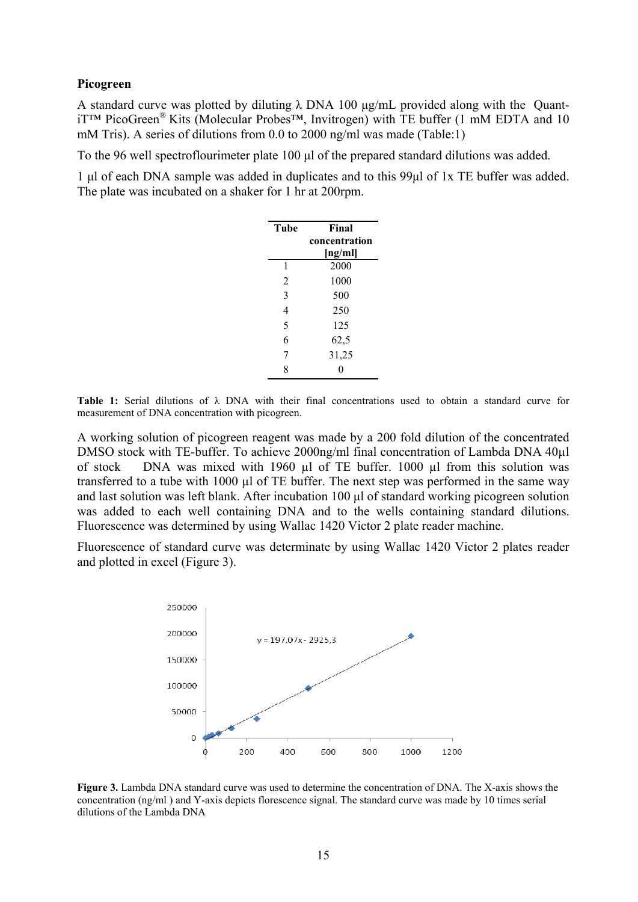#### **Picogreen**

A standard curve was plotted by diluting  $\lambda$  DNA 100 μg/mL provided along with the QuantiT™ PicoGreen® Kits (Molecular Probes™, Invitrogen) with TE buffer (1 mM EDTA and 10 mM Tris). A series of dilutions from 0.0 to 2000 ng/ml was made (Table:1)

To the 96 well spectroflourimeter plate 100 μl of the prepared standard dilutions was added.

1 μl of each DNA sample was added in duplicates and to this 99μl of 1x TE buffer was added. The plate was incubated on a shaker for 1 hr at 200rpm.

| Tube | Final         |
|------|---------------|
|      | concentration |
|      | [ng/ml]       |
| 1    | 2000          |
| 2    | 1000          |
| 3    | 500           |
| 4    | 250           |
| 5    | 125           |
| 6    | 62,5          |
| 7    | 31,25         |
| 8    | ſ             |

**Table 1:** Serial dilutions of λ DNA with their final concentrations used to obtain a standard curve for measurement of DNA concentration with picogreen.

A working solution of picogreen reagent was made by a 200 fold dilution of the concentrated DMSO stock with TE-buffer. To achieve 2000ng/ml final concentration of Lambda DNA 40µl of stock DNA was mixed with 1960 µl of TE buffer. 1000 µl from this solution was transferred to a tube with 1000 µl of TE buffer. The next step was performed in the same way and last solution was left blank. After incubation 100 μl of standard working picogreen solution was added to each well containing DNA and to the wells containing standard dilutions. Fluorescence was determined by using Wallac 1420 Victor 2 plate reader machine.

Fluorescence of standard curve was determinate by using Wallac 1420 Victor 2 plates reader and plotted in excel (Figure 3).



**Figure 3.** Lambda DNA standard curve was used to determine the concentration of DNA. The X-axis shows the concentration (ng/ml ) and Y-axis depicts florescence signal. The standard curve was made by 10 times serial dilutions of the Lambda DNA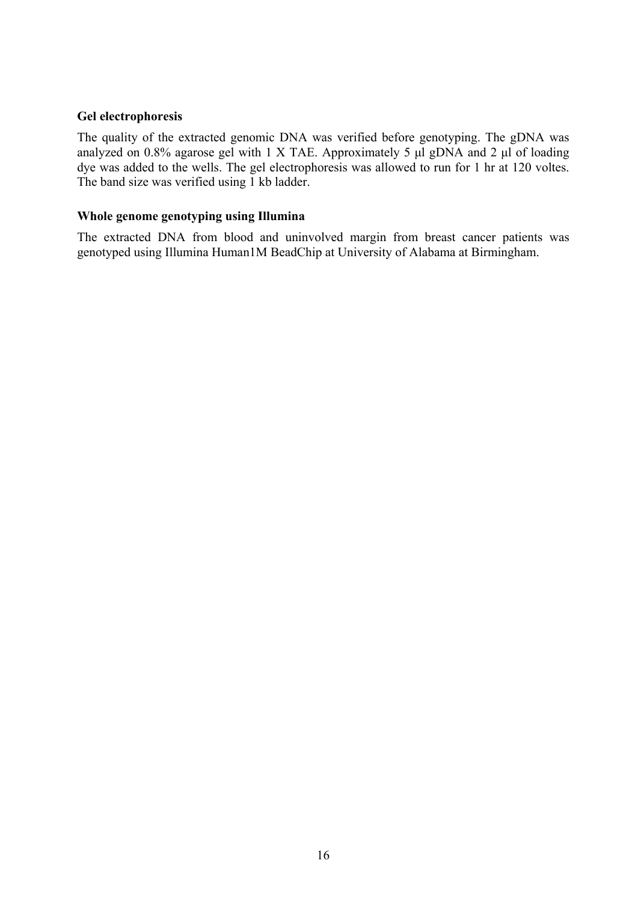## **Gel electrophoresis**

The quality of the extracted genomic DNA was verified before genotyping. The gDNA was analyzed on 0.8% agarose gel with 1 X TAE. Approximately 5 μl gDNA and 2 μl of loading dye was added to the wells. The gel electrophoresis was allowed to run for 1 hr at 120 voltes. The band size was verified using 1 kb ladder.

#### **Whole genome genotyping using Illumina**

The extracted DNA from blood and uninvolved margin from breast cancer patients was genotyped using Illumina Human1M BeadChip at University of Alabama at Birmingham.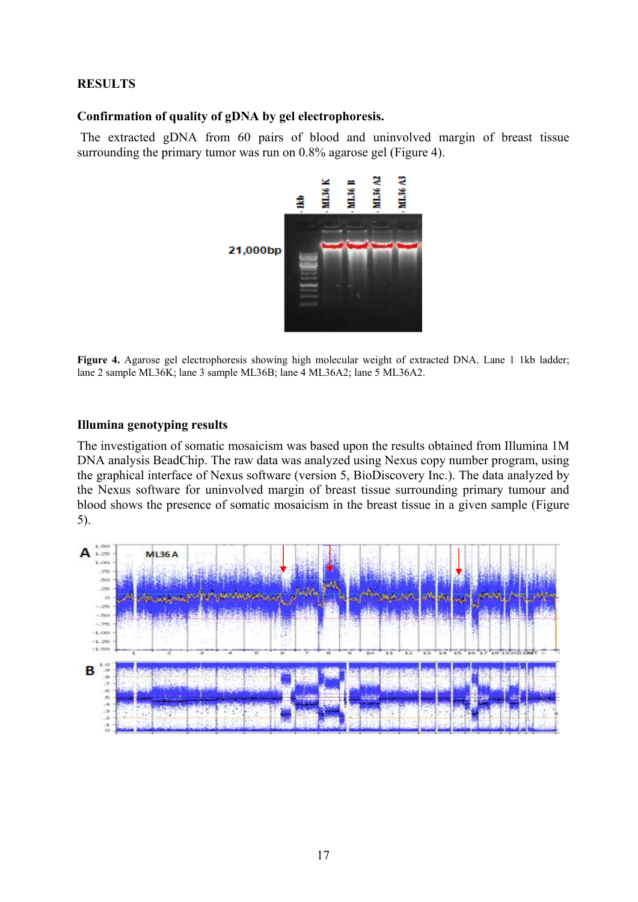## **RESULTS**

#### **Confirmation of quality of gDNA by gel electrophoresis.**

 The extracted gDNA from 60 pairs of blood and uninvolved margin of breast tissue surrounding the primary tumor was run on 0.8% agarose gel (Figure 4).



**Figure 4.** Agarose gel electrophoresis showing high molecular weight of extracted DNA. Lane 1 1kb ladder; lane 2 sample ML36K; lane 3 sample ML36B; lane 4 ML36A2; lane 5 ML36A2.

#### **Illumina genotyping results**

The investigation of somatic mosaicism was based upon the results obtained from Illumina 1M DNA analysis BeadChip. The raw data was analyzed using Nexus copy number program, using the graphical interface of Nexus software (version 5, BioDiscovery Inc.). The data analyzed by the Nexus software for uninvolved margin of breast tissue surrounding primary tumour and blood shows the presence of somatic mosaicism in the breast tissue in a given sample (Figure 5).

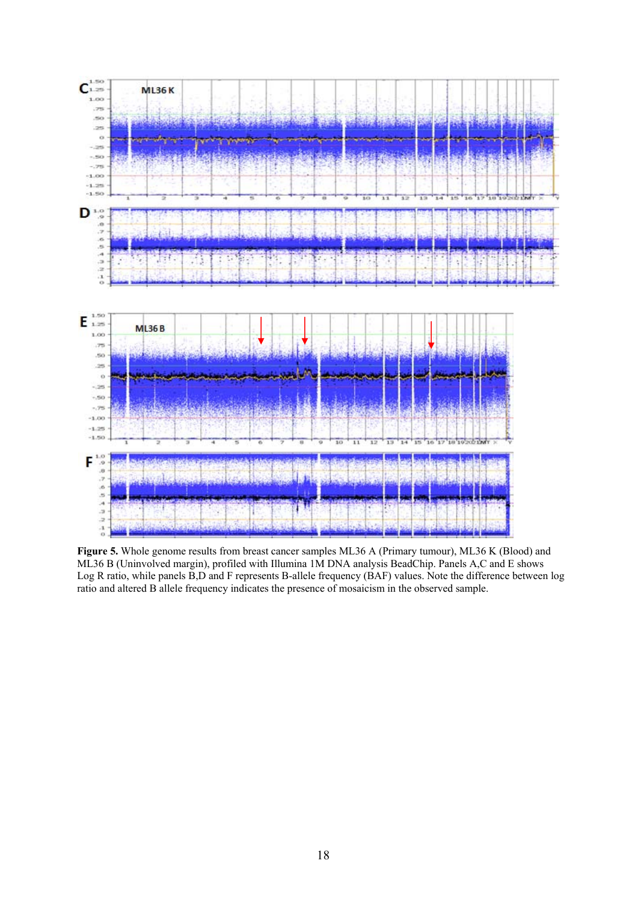

**Figure 5.** Whole genome results from breast cancer samples ML36 A (Primary tumour), ML36 K (Blood) and ML36 B (Uninvolved margin), profiled with Illumina 1M DNA analysis BeadChip. Panels A,C and E shows Log R ratio, while panels B,D and F represents B-allele frequency (BAF) values. Note the difference between log ratio and altered B allele frequency indicates the presence of mosaicism in the observed sample.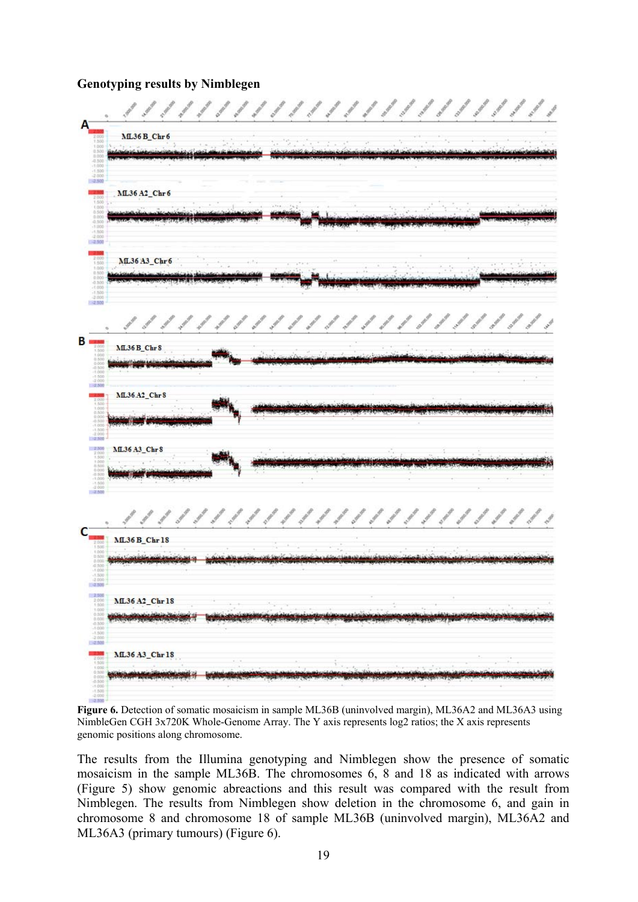### **Genotyping results by Nimblegen**

|                                                                                                                                                                                                       | 11111111111111111111111                                                            |
|-------------------------------------------------------------------------------------------------------------------------------------------------------------------------------------------------------|------------------------------------------------------------------------------------|
|                                                                                                                                                                                                       | ML36 B_Chr6                                                                        |
|                                                                                                                                                                                                       | ML36 A2_Chr6                                                                       |
|                                                                                                                                                                                                       | ML36 A3_Chr6                                                                       |
|                                                                                                                                                                                                       | 11111111111111111<br>ANGE<br>spool organize agent<br>Riggan<br><b>ML36 B_Chr 8</b> |
|                                                                                                                                                                                                       | ML36.A2_Chr8                                                                       |
|                                                                                                                                                                                                       | ML36 A3_Chr 8                                                                      |
|                                                                                                                                                                                                       | ML36 B_Chr 18                                                                      |
| $+50$<br>$-2.000$<br>$-2,500$                                                                                                                                                                         | ML36 A2_Chr18                                                                      |
| $\begin{array}{r} 2.506 \\ 2.006 \\ 1.000 \\ 1.000 \\ 0.300 \\ 0.006 \\ 0.100 \\ -1.500 \\ -2.006 \\ \hline 2.500 \\ \hline 2.500 \\ \hline \end{array}$<br>2.000<br>1.000<br>0.500<br>0.500<br>0.500 | <b>ML36 A3 Chr18</b>                                                               |
| $7.000$<br>$7.000$<br>$-2.001$                                                                                                                                                                        |                                                                                    |

**Figure 6.** Detection of somatic mosaicism in sample ML36B (uninvolved margin), ML36A2 and ML36A3 using NimbleGen CGH 3x720K Whole-Genome Array. The Y axis represents log2 ratios; the X axis represents genomic positions along chromosome.

The results from the Illumina genotyping and Nimblegen show the presence of somatic mosaicism in the sample ML36B. The chromosomes 6, 8 and 18 as indicated with arrows (Figure 5) show genomic abreactions and this result was compared with the result from Nimblegen. The results from Nimblegen show deletion in the chromosome 6, and gain in chromosome 8 and chromosome 18 of sample ML36B (uninvolved margin), ML36A2 and ML36A3 (primary tumours) (Figure 6).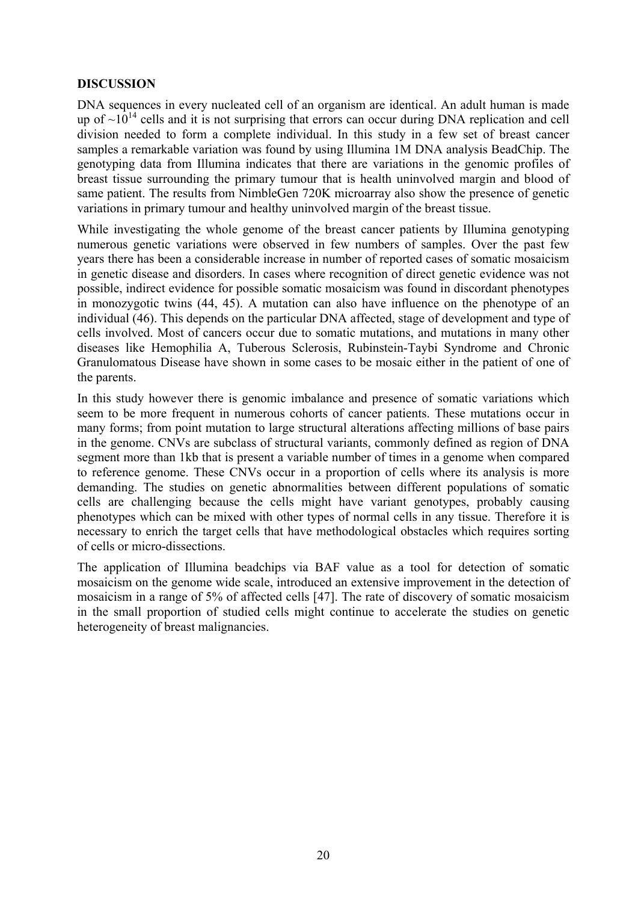## **DISCUSSION**

DNA sequences in every nucleated cell of an organism are identical. An adult human is made up of  $\sim 10^{14}$  cells and it is not surprising that errors can occur during DNA replication and cell division needed to form a complete individual. In this study in a few set of breast cancer samples a remarkable variation was found by using Illumina 1M DNA analysis BeadChip. The genotyping data from Illumina indicates that there are variations in the genomic profiles of breast tissue surrounding the primary tumour that is health uninvolved margin and blood of same patient. The results from NimbleGen 720K microarray also show the presence of genetic variations in primary tumour and healthy uninvolved margin of the breast tissue.

While investigating the whole genome of the breast cancer patients by Illumina genotyping numerous genetic variations were observed in few numbers of samples. Over the past few years there has been a considerable increase in number of reported cases of somatic mosaicism in genetic disease and disorders. In cases where recognition of direct genetic evidence was not possible, indirect evidence for possible somatic mosaicism was found in discordant phenotypes in monozygotic twins (44, 45). A mutation can also have influence on the phenotype of an individual (46). This depends on the particular DNA affected, stage of development and type of cells involved. Most of cancers occur due to somatic mutations, and mutations in many other diseases like Hemophilia A, Tuberous Sclerosis, Rubinstein-Taybi Syndrome and Chronic Granulomatous Disease have shown in some cases to be mosaic either in the patient of one of the parents.

In this study however there is genomic imbalance and presence of somatic variations which seem to be more frequent in numerous cohorts of cancer patients. These mutations occur in many forms; from point mutation to large structural alterations affecting millions of base pairs in the genome. CNVs are subclass of structural variants, commonly defined as region of DNA segment more than 1kb that is present a variable number of times in a genome when compared to reference genome. These CNVs occur in a proportion of cells where its analysis is more demanding. The studies on genetic abnormalities between different populations of somatic cells are challenging because the cells might have variant genotypes, probably causing phenotypes which can be mixed with other types of normal cells in any tissue. Therefore it is necessary to enrich the target cells that have methodological obstacles which requires sorting of cells or micro-dissections.

The application of Illumina beadchips via BAF value as a tool for detection of somatic mosaicism on the genome wide scale, introduced an extensive improvement in the detection of mosaicism in a range of 5% of affected cells [47]. The rate of discovery of somatic mosaicism in the small proportion of studied cells might continue to accelerate the studies on genetic heterogeneity of breast malignancies.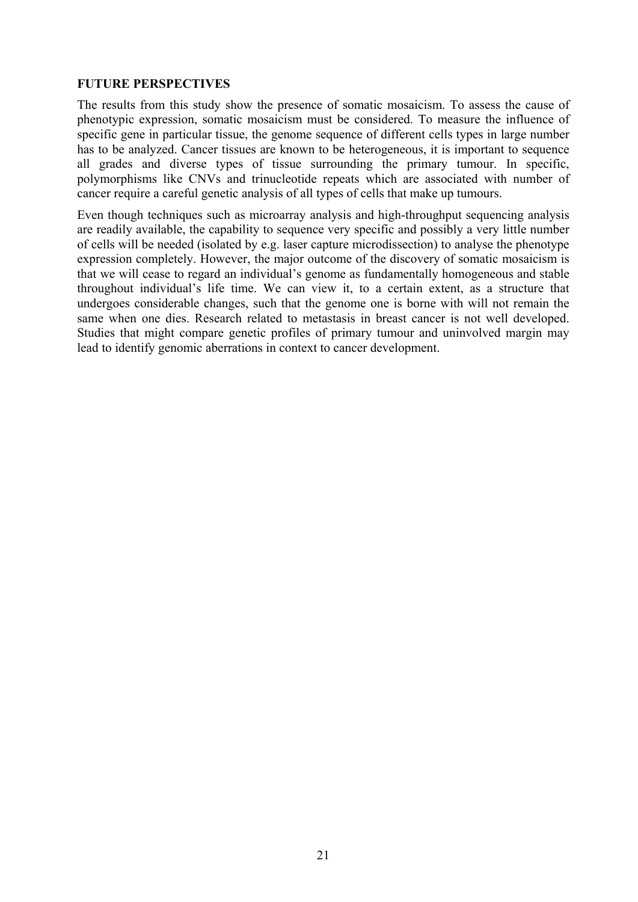## **FUTURE PERSPECTIVES**

The results from this study show the presence of somatic mosaicism. To assess the cause of phenotypic expression, somatic mosaicism must be considered. To measure the influence of specific gene in particular tissue, the genome sequence of different cells types in large number has to be analyzed. Cancer tissues are known to be heterogeneous, it is important to sequence all grades and diverse types of tissue surrounding the primary tumour. In specific, polymorphisms like CNVs and trinucleotide repeats which are associated with number of cancer require a careful genetic analysis of all types of cells that make up tumours.

Even though techniques such as microarray analysis and high-throughput sequencing analysis are readily available, the capability to sequence very specific and possibly a very little number of cells will be needed (isolated by e.g. laser capture microdissection) to analyse the phenotype expression completely. However, the major outcome of the discovery of somatic mosaicism is that we will cease to regard an individual's genome as fundamentally homogeneous and stable throughout individual's life time. We can view it, to a certain extent, as a structure that undergoes considerable changes, such that the genome one is borne with will not remain the same when one dies. Research related to metastasis in breast cancer is not well developed. Studies that might compare genetic profiles of primary tumour and uninvolved margin may lead to identify genomic aberrations in context to cancer development.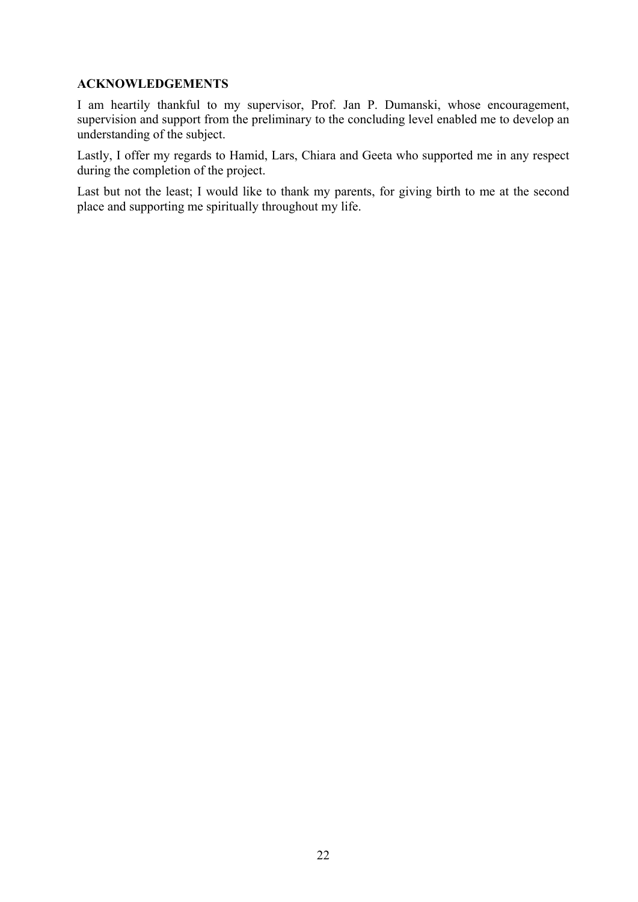## **ACKNOWLEDGEMENTS**

I am heartily thankful to my supervisor, Prof. Jan P. Dumanski, whose encouragement, supervision and support from the preliminary to the concluding level enabled me to develop an understanding of the subject.

Lastly, I offer my regards to Hamid, Lars, Chiara and Geeta who supported me in any respect during the completion of the project.

Last but not the least; I would like to thank my parents, for giving birth to me at the second place and supporting me spiritually throughout my life.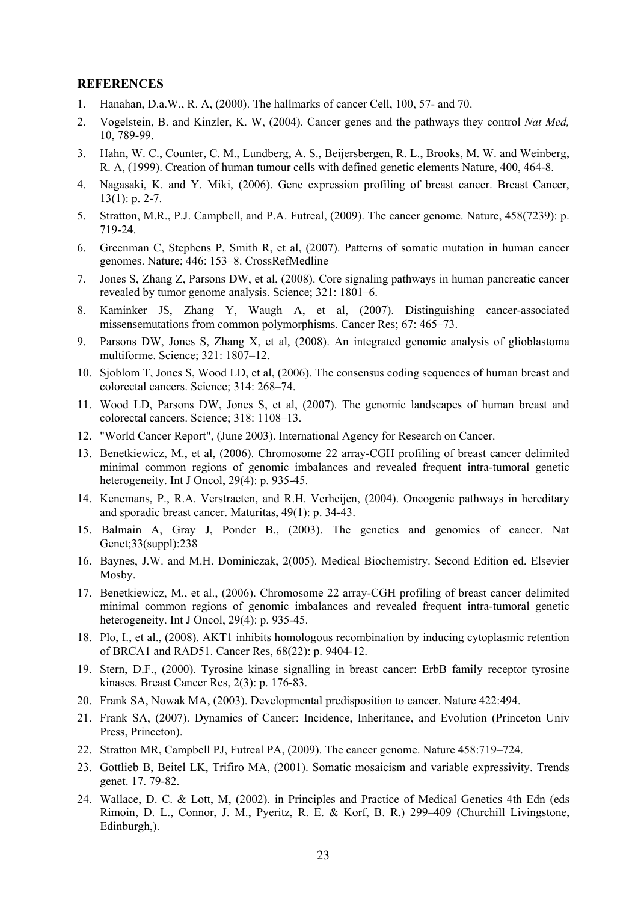#### **REFERENCES**

- 1. Hanahan, D.a.W., R. A, (2000). The hallmarks of cancer Cell, 100, 57- and 70.
- 2. Vogelstein, B. and Kinzler, K. W, (2004). Cancer genes and the pathways they control *Nat Med,*  10, 789-99.
- 3. Hahn, W. C., Counter, C. M., Lundberg, A. S., Beijersbergen, R. L., Brooks, M. W. and Weinberg, R. A, (1999). Creation of human tumour cells with defined genetic elements Nature, 400, 464-8.
- 4.Nagasaki, K. and Y. Miki, (2006). Gene expression profiling of breast cancer. Breast Cancer, 13(1): p. 2-7.
- 5.Stratton, M.R., P.J. Campbell, and P.A. Futreal, (2009). The cancer genome. Nature, 458(7239): p. 719-24.
- 6. Greenman C, Stephens P, Smith R, et al, (2007). Patterns of somatic mutation in human cancer genomes. Nature; 446: 153–8. CrossRefMedline
- 7. Jones S, Zhang Z, Parsons DW, et al, (2008). Core signaling pathways in human pancreatic cancer revealed by tumor genome analysis. Science; 321: 1801–6.
- 8. Kaminker JS, Zhang Y, Waugh A, et al, (2007). Distinguishing cancer-associated missensemutations from common polymorphisms. Cancer Res; 67: 465–73.
- 9. Parsons DW, Jones S, Zhang X, et al, (2008). An integrated genomic analysis of glioblastoma multiforme. Science; 321: 1807–12.
- 10. Sjoblom T, Jones S, Wood LD, et al, (2006). The consensus coding sequences of human breast and colorectal cancers. Science; 314: 268–74.
- 11. Wood LD, Parsons DW, Jones S, et al, (2007). The genomic landscapes of human breast and colorectal cancers. Science; 318: 1108–13.
- 12."World Cancer Report", (June 2003). International Agency for Research on Cancer.
- 13.Benetkiewicz, M., et al, (2006). Chromosome 22 array-CGH profiling of breast cancer delimited minimal common regions of genomic imbalances and revealed frequent intra-tumoral genetic heterogeneity. Int J Oncol, 29(4): p. 935-45.
- 14.Kenemans, P., R.A. Verstraeten, and R.H. Verheijen, (2004). Oncogenic pathways in hereditary and sporadic breast cancer. Maturitas, 49(1): p. 34-43.
- 15. Balmain A, Gray J, Ponder B., (2003). The genetics and genomics of cancer. Nat Genet;33(suppl):238
- 16.Baynes, J.W. and M.H. Dominiczak, 2(005). Medical Biochemistry. Second Edition ed. Elsevier Mosby.
- 17.Benetkiewicz, M., et al., (2006). Chromosome 22 array-CGH profiling of breast cancer delimited minimal common regions of genomic imbalances and revealed frequent intra-tumoral genetic heterogeneity. Int J Oncol, 29(4): p. 935-45.
- 18. Plo, I., et al., (2008). AKT1 inhibits homologous recombination by inducing cytoplasmic retention of BRCA1 and RAD51. Cancer Res, 68(22): p. 9404-12.
- 19. Stern, D.F., (2000). Tyrosine kinase signalling in breast cancer: ErbB family receptor tyrosine kinases. Breast Cancer Res, 2(3): p. 176-83.
- 20. Frank SA, Nowak MA, (2003). Developmental predisposition to cancer. Nature 422:494.
- 21. Frank SA, (2007). Dynamics of Cancer: Incidence, Inheritance, and Evolution (Princeton Univ Press, Princeton).
- 22.Stratton MR, Campbell PJ, Futreal PA, (2009). The cancer genome. Nature 458:719–724.
- 23.Gottlieb B, Beitel LK, Trifiro MA, (2001). Somatic mosaicism and variable expressivity. Trends genet. 17. 79-82.
- 24. Wallace, D. C. & Lott, M, (2002). in Principles and Practice of Medical Genetics 4th Edn (eds Rimoin, D. L., Connor, J. M., Pyeritz, R. E. & Korf, B. R.) 299–409 (Churchill Livingstone, Edinburgh,).